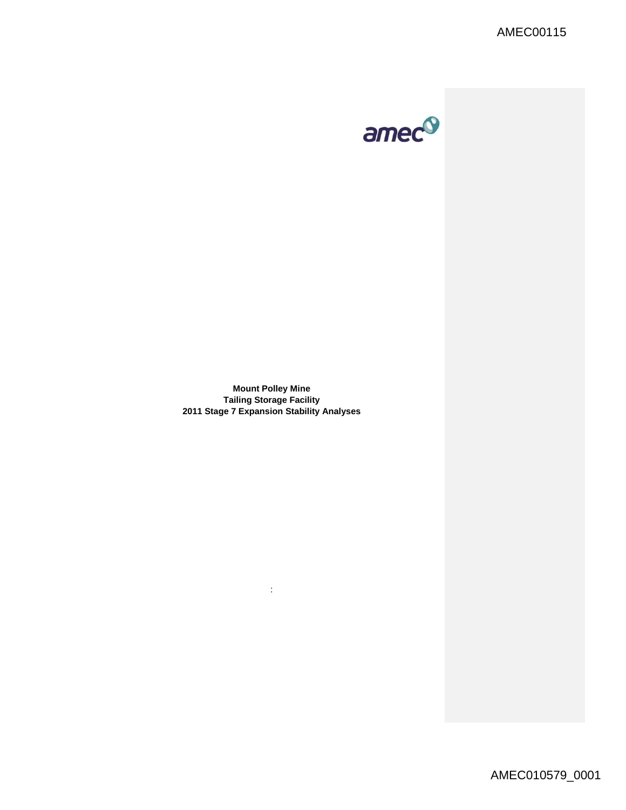AMEC00115



**Mount Polley Mine Tailing Storage Facility 2011 Stage 7 Expansion Stability Analyses** 

: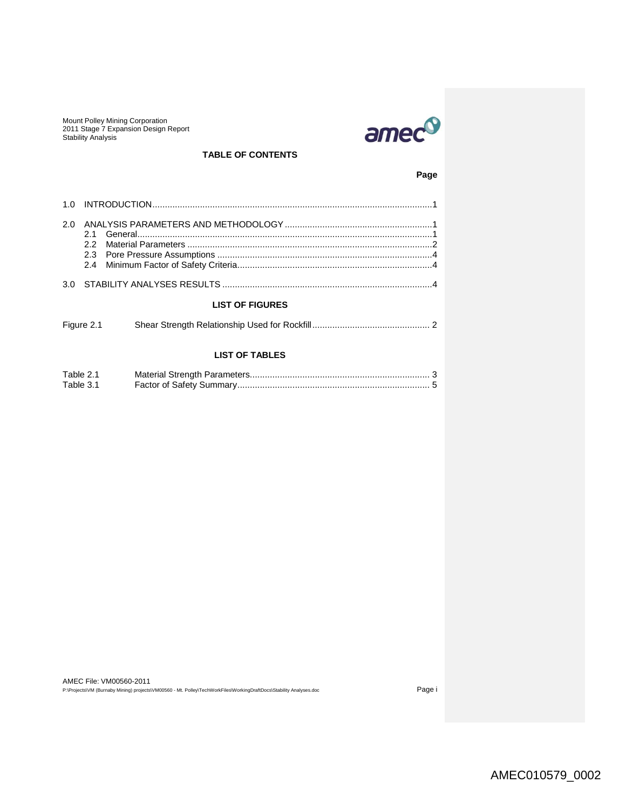

# **TABLE OF CONTENTS**

**Page**

| 2.0                    |            |  |  |  |  |  |  |  |
|------------------------|------------|--|--|--|--|--|--|--|
|                        |            |  |  |  |  |  |  |  |
| <b>LIST OF FIGURES</b> |            |  |  |  |  |  |  |  |
|                        | Figure 2.1 |  |  |  |  |  |  |  |

# **LIST OF TABLES**

| Table 2.1 |  |
|-----------|--|
| Table 3.1 |  |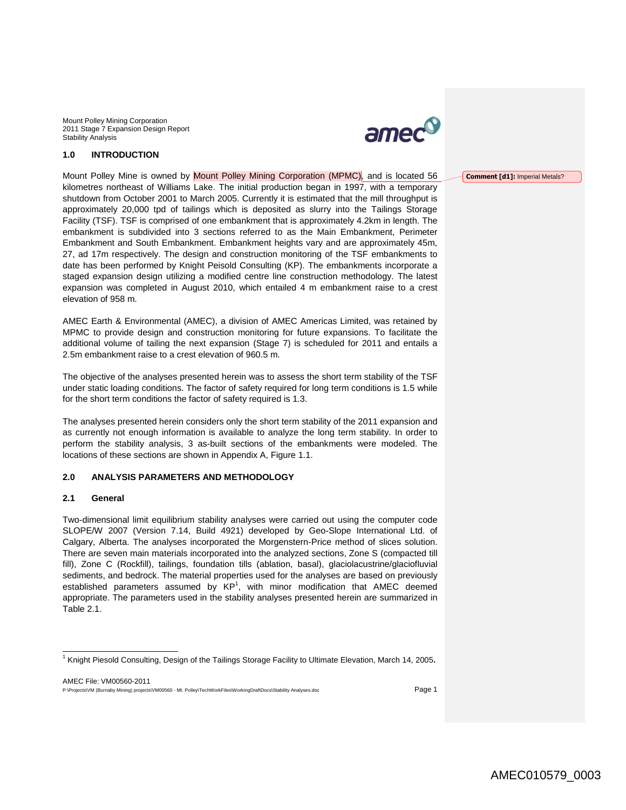

# **1.0 INTRODUCTION**

Mount Polley Mine is owned by Mount Polley Mining Corporation (MPMC), and is located 56 kilometres northeast of Williams Lake. The initial production began in 1997, with a temporary shutdown from October 2001 to March 2005. Currently it is estimated that the mill throughput is approximately 20,000 tpd of tailings which is deposited as slurry into the Tailings Storage Facility (TSF). TSF is comprised of one embankment that is approximately 4.2km in length. The embankment is subdivided into 3 sections referred to as the Main Embankment, Perimeter Embankment and South Embankment. Embankment heights vary and are approximately 45m, 27, ad 17m respectively. The design and construction monitoring of the TSF embankments to date has been performed by Knight Peisold Consulting (KP). The embankments incorporate a staged expansion design utilizing a modified centre line construction methodology. The latest expansion was completed in August 2010, which entailed 4 m embankment raise to a crest elevation of 958 m.

AMEC Earth & Environmental (AMEC), a division of AMEC Americas Limited, was retained by MPMC to provide design and construction monitoring for future expansions. To facilitate the additional volume of tailing the next expansion (Stage 7) is scheduled for 2011 and entails a 2.5m embankment raise to a crest elevation of 960.5 m.

The objective of the analyses presented herein was to assess the short term stability of the TSF under static loading conditions. The factor of safety required for long term conditions is 1.5 while for the short term conditions the factor of safety required is 1.3.

The analyses presented herein considers only the short term stability of the 2011 expansion and as currently not enough information is available to analyze the long term stability. In order to perform the stability analysis, 3 as-built sections of the embankments were modeled. The locations of these sections are shown in Appendix A, Figure 1.1.

#### **2.0 ANALYSIS PARAMETERS AND METHODOLOGY**

### **2.1 General**

Two-dimensional limit equilibrium stability analyses were carried out using the computer code SLOPE/W 2007 (Version 7.14, Build 4921) developed by Geo-Slope International Ltd. of Calgary, Alberta. The analyses incorporated the Morgenstern-Price method of slices solution. There are seven main materials incorporated into the analyzed sections, Zone S (compacted till fill), Zone C (Rockfill), tailings, foundation tills (ablation, basal), glaciolacustrine/glaciofluvial sediments, and bedrock. The material properties used for the analyses are based on previously established parameters assumed by  $KP<sup>1</sup>$ , with minor modification that AMEC deemed appropriate. The parameters used in the stability analyses presented herein are summarized in Table 2.1.

AMEC File: VM00560-2011 P:\Projects\VM (Burnaby Mining) projects\VM00560 - Mt. Polley\TechWorkFiles\WorkingDraftDocs\Stability Analyses.doc Page 1

#### **Comment [d1]:** Imperial Metals?

 1 Knight Piesold Consulting, Design of the Tailings Storage Facility to Ultimate Elevation, March 14, 2005**.**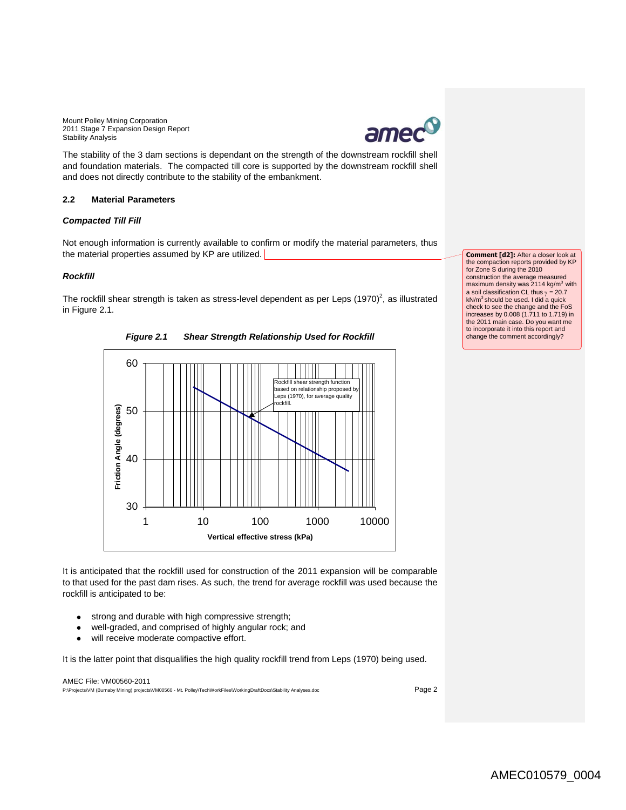

The stability of the 3 dam sections is dependant on the strength of the downstream rockfill shell and foundation materials. The compacted till core is supported by the downstream rockfill shell and does not directly contribute to the stability of the embankment.

### **2.2 Material Parameters**

#### *Compacted Till Fill*

Not enough information is currently available to confirm or modify the material parameters, thus the material properties assumed by KP are utilized.

### *Rockfill*

The rockfill shear strength is taken as stress-level dependent as per Leps  $(1970)^2$ , as illustrated in Figure 2.1.

*Figure 2.1 Shear Strength Relationship Used for Rockfill*



**Comment [d2]:** After a closer look at the compaction reports provided by KP for Zone S during the 2010 construction the average measured maximum density was  $2114$  kg/m<sup>3</sup> with a soil classification CL thus  $\gamma = 20.7$ kN/m<sup>3</sup> should be used. I did a quick check to see the change and the FoS increases by 0.008 (1.711 to 1.719) in the 2011 main case. Do you want me to incorporate it into this report and change the comment accordingly?

It is anticipated that the rockfill used for construction of the 2011 expansion will be comparable to that used for the past dam rises. As such, the trend for average rockfill was used because the rockfill is anticipated to be:

- $\bullet$ strong and durable with high compressive strength;
- well-graded, and comprised of highly angular rock; and
- will receive moderate compactive effort.

It is the latter point that disqualifies the high quality rockfill trend from Leps (1970) being used.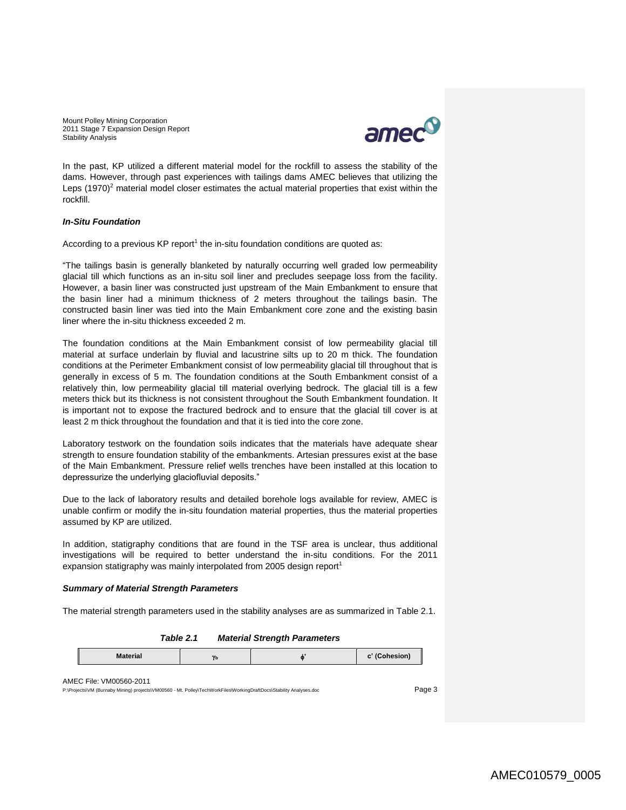

In the past, KP utilized a different material model for the rockfill to assess the stability of the dams. However, through past experiences with tailings dams AMEC believes that utilizing the Leps  $(1970)^2$  material model closer estimates the actual material properties that exist within the rockfill.

#### *In-Situ Foundation*

According to a previous KP report<sup>1</sup> the in-situ foundation conditions are quoted as:

"The tailings basin is generally blanketed by naturally occurring well graded low permeability glacial till which functions as an in-situ soil liner and precludes seepage loss from the facility. However, a basin liner was constructed just upstream of the Main Embankment to ensure that the basin liner had a minimum thickness of 2 meters throughout the tailings basin. The constructed basin liner was tied into the Main Embankment core zone and the existing basin liner where the in-situ thickness exceeded 2 m.

The foundation conditions at the Main Embankment consist of low permeability glacial till material at surface underlain by fluvial and lacustrine silts up to 20 m thick. The foundation conditions at the Perimeter Embankment consist of low permeability glacial till throughout that is generally in excess of 5 m. The foundation conditions at the South Embankment consist of a relatively thin, low permeability glacial till material overlying bedrock. The glacial till is a few meters thick but its thickness is not consistent throughout the South Embankment foundation. It is important not to expose the fractured bedrock and to ensure that the glacial till cover is at least 2 m thick throughout the foundation and that it is tied into the core zone.

Laboratory testwork on the foundation soils indicates that the materials have adequate shear strength to ensure foundation stability of the embankments. Artesian pressures exist at the base of the Main Embankment. Pressure relief wells trenches have been installed at this location to depressurize the underlying glaciofluvial deposits."

Due to the lack of laboratory results and detailed borehole logs available for review, AMEC is unable confirm or modify the in-situ foundation material properties, thus the material properties assumed by KP are utilized.

In addition, statigraphy conditions that are found in the TSF area is unclear, thus additional investigations will be required to better understand the in-situ conditions. For the 2011 expansion statigraphy was mainly interpolated from 2005 design report<sup>1</sup>

#### *Summary of Material Strength Parameters*

The material strength parameters used in the stability analyses are as summarized in Table 2.1.

#### *Table 2.1 Material Strength Parameters*

| <b>Material</b><br>$\mathbf{v}$<br>10<br>----------- |
|------------------------------------------------------|
|------------------------------------------------------|

#### AMEC File: VM00560-2011

P:\Projects\VM (Burnaby Mining) projects\VM00560 - Mt. Polley\TechWorkFiles\WorkingDraftDocs\Stability Analyses.doc Page 3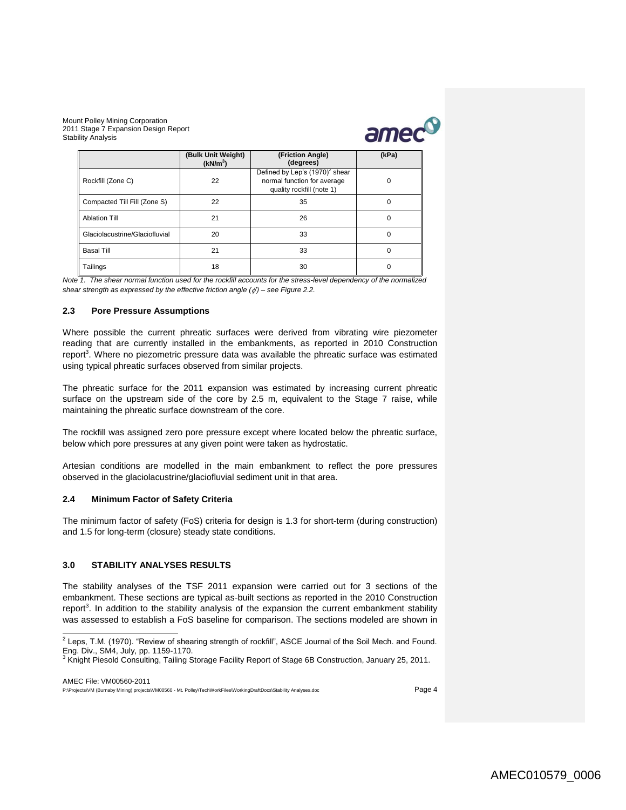

|                                | (Bulk Unit Weight)<br>(kN/m <sup>3</sup> ) | (Friction Angle)<br>(degrees)                                                                 | (kPa) |
|--------------------------------|--------------------------------------------|-----------------------------------------------------------------------------------------------|-------|
| Rockfill (Zone C)              | 22                                         | Defined by Lep's $(1970)^2$ shear<br>normal function for average<br>quality rockfill (note 1) | 0     |
| Compacted Till Fill (Zone S)   | 22                                         | 35                                                                                            | 0     |
| <b>Ablation Till</b>           | 21                                         | 26                                                                                            | 0     |
| Glaciolacustrine/Glaciofluvial | 20                                         | 33                                                                                            | 0     |
| <b>Basal Till</b>              | 21                                         | 33                                                                                            | 0     |
| Tailings                       | 18                                         | 30                                                                                            |       |

*Note 1. The shear normal function used for the rockfill accounts for the stress-level dependency of the normalized shear strength as expressed by the effective friction angle ( ') – see Figure 2.2.* 

### **2.3 Pore Pressure Assumptions**

<span id="page-5-0"></span>Where possible the current phreatic surfaces were derived from vibrating wire piezometer reading that are currently installed in the embankments, as reported in 2010 Construction report<sup>3</sup>. Where no piezometric pressure data was available the phreatic surface was estimated using typical phreatic surfaces observed from similar projects.

The phreatic surface for the 2011 expansion was estimated by increasing current phreatic surface on the upstream side of the core by 2.5 m, equivalent to the Stage 7 raise, while maintaining the phreatic surface downstream of the core.

The rockfill was assigned zero pore pressure except where located below the phreatic surface, below which pore pressures at any given point were taken as hydrostatic.

Artesian conditions are modelled in the main embankment to reflect the pore pressures observed in the glaciolacustrine/glaciofluvial sediment unit in that area.

### **2.4 Minimum Factor of Safety Criteria**

The minimum factor of safety (FoS) criteria for design is 1.3 for short-term (during construction) and 1.5 for long-term (closure) steady state conditions.

## **3.0 STABILITY ANALYSES RESULTS**

The stability analyses of the TSF 2011 expansion were carried out for 3 sections of the embankment. These sections are typical as-built sections as reported in the 2010 Construction report<sup>3</sup>[.](#page-5-0) In addition to the stability analysis of the expansion the current embankment stability was assessed to establish a FoS baseline for comparison. The sections modeled are shown in

 2 Leps, T.M. (1970). "Review of shearing strength of rockfill", ASCE Journal of the Soil Mech. and Found. Eng. Div., SM4, July, pp. 1159-1170.

<sup>&</sup>lt;sup>3</sup> Knight Piesold Consulting, Tailing Storage Facility Report of Stage 6B Construction, January 25, 2011.